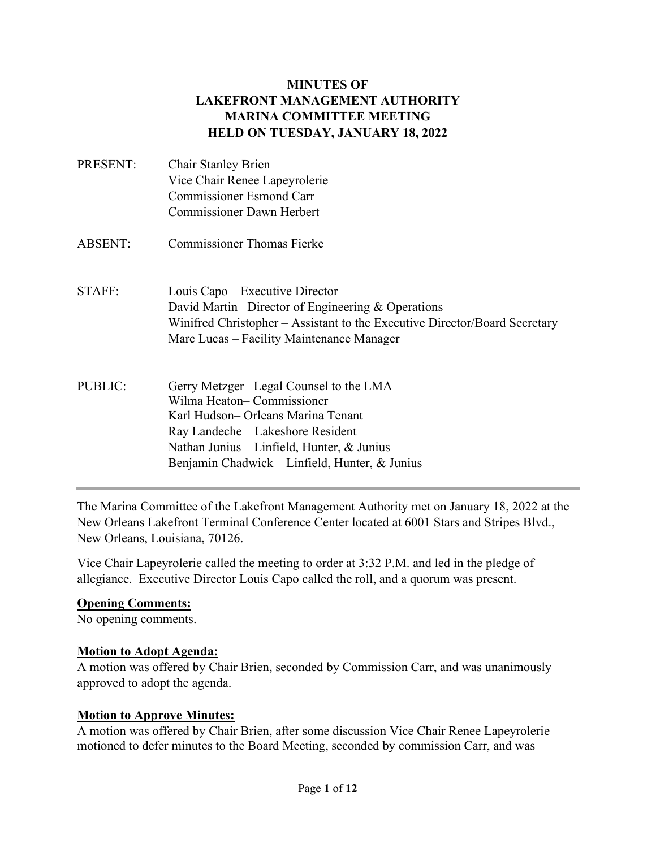#### **MINUTES OF LAKEFRONT MANAGEMENT AUTHORITY MARINA COMMITTEE MEETING HELD ON TUESDAY, JANUARY 18, 2022**

| PRESENT:       | <b>Chair Stanley Brien</b><br>Vice Chair Renee Lapeyrolerie<br><b>Commissioner Esmond Carr</b><br><b>Commissioner Dawn Herbert</b>                                                                                                                |
|----------------|---------------------------------------------------------------------------------------------------------------------------------------------------------------------------------------------------------------------------------------------------|
| <b>ABSENT:</b> | Commissioner Thomas Fierke                                                                                                                                                                                                                        |
| STAFF:         | Louis Capo – Executive Director<br>David Martin–Director of Engineering & Operations<br>Winifred Christopher – Assistant to the Executive Director/Board Secretary<br>Marc Lucas – Facility Maintenance Manager                                   |
| <b>PUBLIC:</b> | Gerry Metzger-Legal Counsel to the LMA<br>Wilma Heaton-Commissioner<br>Karl Hudson– Orleans Marina Tenant<br>Ray Landeche – Lakeshore Resident<br>Nathan Junius – Linfield, Hunter, $\&$ Junius<br>Benjamin Chadwick - Linfield, Hunter, & Junius |

The Marina Committee of the Lakefront Management Authority met on January 18, 2022 at the New Orleans Lakefront Terminal Conference Center located at 6001 Stars and Stripes Blvd., New Orleans, Louisiana, 70126.

Vice Chair Lapeyrolerie called the meeting to order at 3:32 P.M. and led in the pledge of allegiance. Executive Director Louis Capo called the roll, and a quorum was present.

#### **Opening Comments:**

No opening comments.

#### **Motion to Adopt Agenda:**

A motion was offered by Chair Brien, seconded by Commission Carr, and was unanimously approved to adopt the agenda.

#### **Motion to Approve Minutes:**

A motion was offered by Chair Brien, after some discussion Vice Chair Renee Lapeyrolerie motioned to defer minutes to the Board Meeting, seconded by commission Carr, and was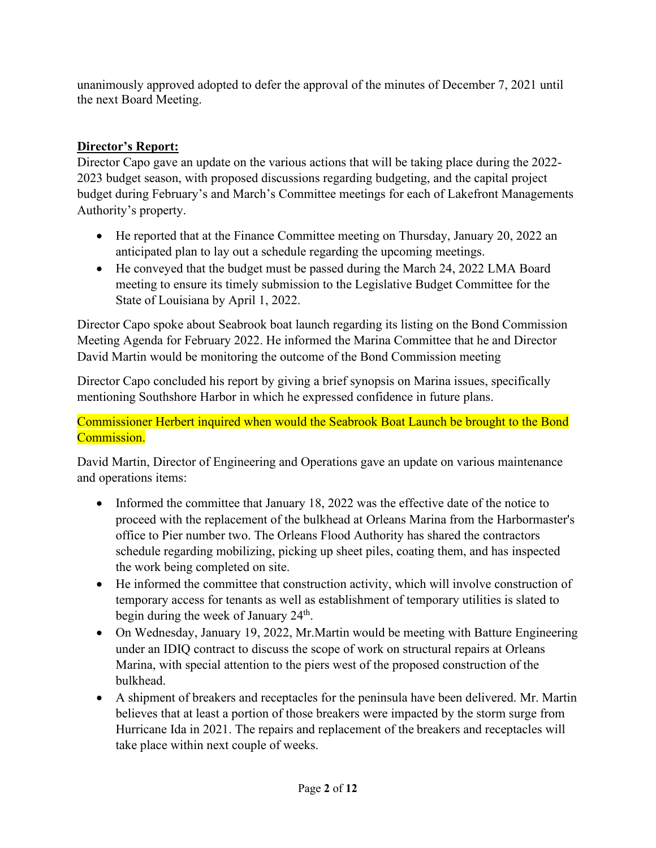unanimously approved adopted to defer the approval of the minutes of December 7, 2021 until the next Board Meeting.

# **Director's Report:**

Director Capo gave an update on the various actions that will be taking place during the 2022- 2023 budget season, with proposed discussions regarding budgeting, and the capital project budget during February's and March's Committee meetings for each of Lakefront Managements Authority's property.

- He reported that at the Finance Committee meeting on Thursday, January 20, 2022 an anticipated plan to lay out a schedule regarding the upcoming meetings.
- He conveyed that the budget must be passed during the March 24, 2022 LMA Board meeting to ensure its timely submission to the Legislative Budget Committee for the State of Louisiana by April 1, 2022.

Director Capo spoke about Seabrook boat launch regarding its listing on the Bond Commission Meeting Agenda for February 2022. He informed the Marina Committee that he and Director David Martin would be monitoring the outcome of the Bond Commission meeting

Director Capo concluded his report by giving a brief synopsis on Marina issues, specifically mentioning Southshore Harbor in which he expressed confidence in future plans.

Commissioner Herbert inquired when would the Seabrook Boat Launch be brought to the Bond Commission.

David Martin, Director of Engineering and Operations gave an update on various maintenance and operations items:

- Informed the committee that January 18, 2022 was the effective date of the notice to proceed with the replacement of the bulkhead at Orleans Marina from the Harbormaster's office to Pier number two. The Orleans Flood Authority has shared the contractors schedule regarding mobilizing, picking up sheet piles, coating them, and has inspected the work being completed on site.
- He informed the committee that construction activity, which will involve construction of temporary access for tenants as well as establishment of temporary utilities is slated to begin during the week of January 24<sup>th</sup>.
- On Wednesday, January 19, 2022, Mr. Martin would be meeting with Batture Engineering under an IDIQ contract to discuss the scope of work on structural repairs at Orleans Marina, with special attention to the piers west of the proposed construction of the bulkhead.
- A shipment of breakers and receptacles for the peninsula have been delivered. Mr. Martin believes that at least a portion of those breakers were impacted by the storm surge from Hurricane Ida in 2021. The repairs and replacement of the breakers and receptacles will take place within next couple of weeks.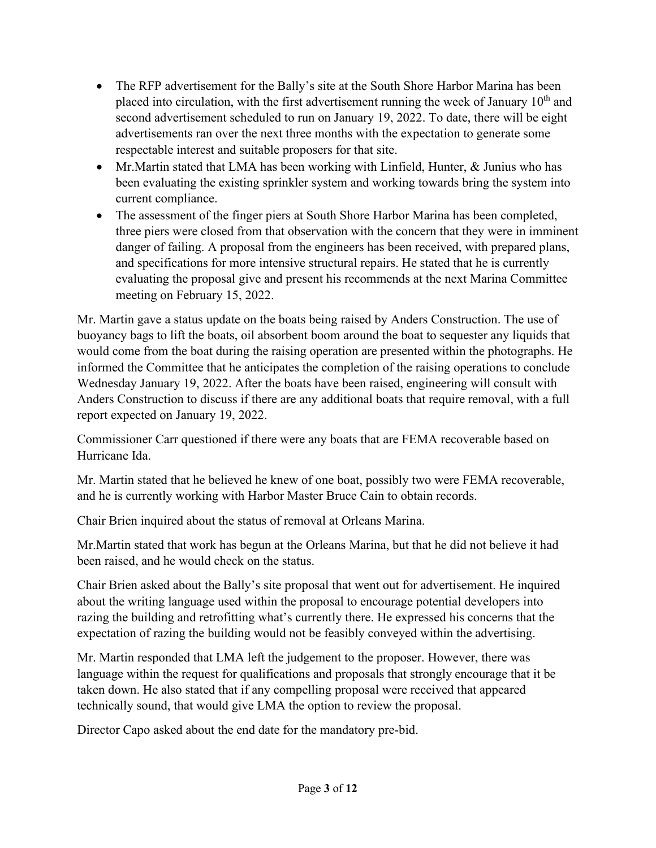- The RFP advertisement for the Bally's site at the South Shore Harbor Marina has been placed into circulation, with the first advertisement running the week of January  $10<sup>th</sup>$  and second advertisement scheduled to run on January 19, 2022. To date, there will be eight advertisements ran over the next three months with the expectation to generate some respectable interest and suitable proposers for that site.
- Mr.Martin stated that LMA has been working with Linfield, Hunter, & Junius who has been evaluating the existing sprinkler system and working towards bring the system into current compliance.
- The assessment of the finger piers at South Shore Harbor Marina has been completed, three piers were closed from that observation with the concern that they were in imminent danger of failing. A proposal from the engineers has been received, with prepared plans, and specifications for more intensive structural repairs. He stated that he is currently evaluating the proposal give and present his recommends at the next Marina Committee meeting on February 15, 2022.

Mr. Martin gave a status update on the boats being raised by Anders Construction. The use of buoyancy bags to lift the boats, oil absorbent boom around the boat to sequester any liquids that would come from the boat during the raising operation are presented within the photographs. He informed the Committee that he anticipates the completion of the raising operations to conclude Wednesday January 19, 2022. After the boats have been raised, engineering will consult with Anders Construction to discuss if there are any additional boats that require removal, with a full report expected on January 19, 2022.

Commissioner Carr questioned if there were any boats that are FEMA recoverable based on Hurricane Ida.

Mr. Martin stated that he believed he knew of one boat, possibly two were FEMA recoverable, and he is currently working with Harbor Master Bruce Cain to obtain records.

Chair Brien inquired about the status of removal at Orleans Marina.

Mr.Martin stated that work has begun at the Orleans Marina, but that he did not believe it had been raised, and he would check on the status.

Chair Brien asked about the Bally's site proposal that went out for advertisement. He inquired about the writing language used within the proposal to encourage potential developers into razing the building and retrofitting what's currently there. He expressed his concerns that the expectation of razing the building would not be feasibly conveyed within the advertising.

Mr. Martin responded that LMA left the judgement to the proposer. However, there was language within the request for qualifications and proposals that strongly encourage that it be taken down. He also stated that if any compelling proposal were received that appeared technically sound, that would give LMA the option to review the proposal.

Director Capo asked about the end date for the mandatory pre-bid.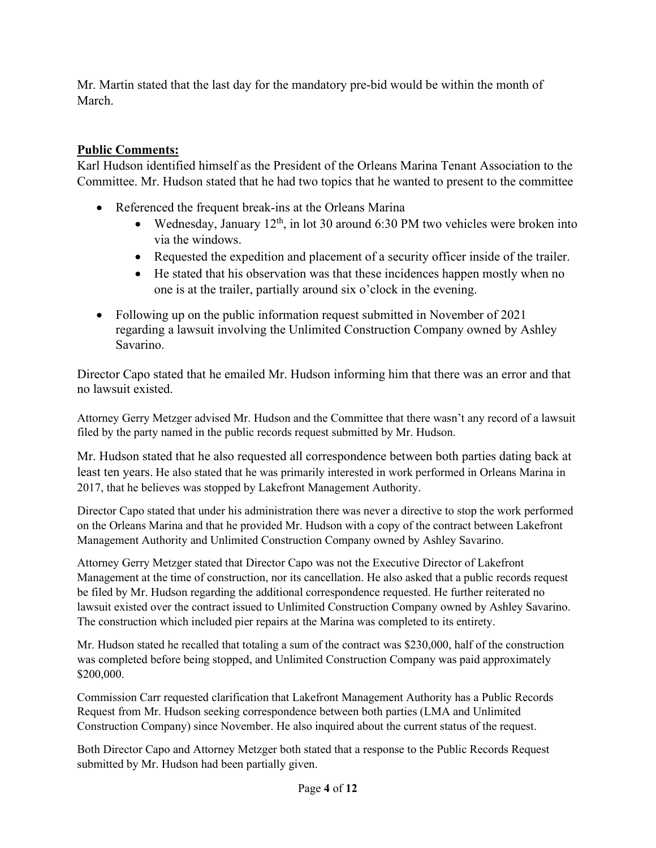Mr. Martin stated that the last day for the mandatory pre-bid would be within the month of March.

### **Public Comments:**

Karl Hudson identified himself as the President of the Orleans Marina Tenant Association to the Committee. Mr. Hudson stated that he had two topics that he wanted to present to the committee

- Referenced the frequent break-ins at the Orleans Marina
	- Wednesday, January  $12^{th}$ , in lot 30 around 6:30 PM two vehicles were broken into via the windows.
	- Requested the expedition and placement of a security officer inside of the trailer.
	- He stated that his observation was that these incidences happen mostly when no one is at the trailer, partially around six o'clock in the evening.
- Following up on the public information request submitted in November of 2021 regarding a lawsuit involving the Unlimited Construction Company owned by Ashley Savarino.

Director Capo stated that he emailed Mr. Hudson informing him that there was an error and that no lawsuit existed.

Attorney Gerry Metzger advised Mr. Hudson and the Committee that there wasn't any record of a lawsuit filed by the party named in the public records request submitted by Mr. Hudson.

Mr. Hudson stated that he also requested all correspondence between both parties dating back at least ten years. He also stated that he was primarily interested in work performed in Orleans Marina in 2017, that he believes was stopped by Lakefront Management Authority.

Director Capo stated that under his administration there was never a directive to stop the work performed on the Orleans Marina and that he provided Mr. Hudson with a copy of the contract between Lakefront Management Authority and Unlimited Construction Company owned by Ashley Savarino.

Attorney Gerry Metzger stated that Director Capo was not the Executive Director of Lakefront Management at the time of construction, nor its cancellation. He also asked that a public records request be filed by Mr. Hudson regarding the additional correspondence requested. He further reiterated no lawsuit existed over the contract issued to Unlimited Construction Company owned by Ashley Savarino. The construction which included pier repairs at the Marina was completed to its entirety.

Mr. Hudson stated he recalled that totaling a sum of the contract was \$230,000, half of the construction was completed before being stopped, and Unlimited Construction Company was paid approximately \$200,000.

Commission Carr requested clarification that Lakefront Management Authority has a Public Records Request from Mr. Hudson seeking correspondence between both parties (LMA and Unlimited Construction Company) since November. He also inquired about the current status of the request.

Both Director Capo and Attorney Metzger both stated that a response to the Public Records Request submitted by Mr. Hudson had been partially given.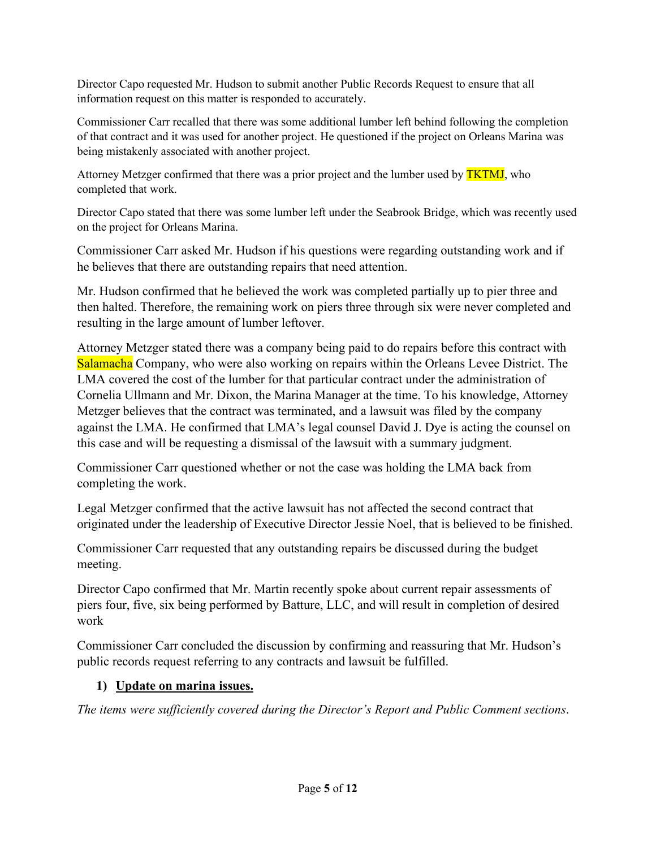Director Capo requested Mr. Hudson to submit another Public Records Request to ensure that all information request on this matter is responded to accurately.

Commissioner Carr recalled that there was some additional lumber left behind following the completion of that contract and it was used for another project. He questioned if the project on Orleans Marina was being mistakenly associated with another project.

Attorney Metzger confirmed that there was a prior project and the lumber used by **TKTMJ**, who completed that work.

Director Capo stated that there was some lumber left under the Seabrook Bridge, which was recently used on the project for Orleans Marina.

Commissioner Carr asked Mr. Hudson if his questions were regarding outstanding work and if he believes that there are outstanding repairs that need attention.

Mr. Hudson confirmed that he believed the work was completed partially up to pier three and then halted. Therefore, the remaining work on piers three through six were never completed and resulting in the large amount of lumber leftover.

Attorney Metzger stated there was a company being paid to do repairs before this contract with Salamacha Company, who were also working on repairs within the Orleans Levee District. The LMA covered the cost of the lumber for that particular contract under the administration of Cornelia Ullmann and Mr. Dixon, the Marina Manager at the time. To his knowledge, Attorney Metzger believes that the contract was terminated, and a lawsuit was filed by the company against the LMA. He confirmed that LMA's legal counsel David J. Dye is acting the counsel on this case and will be requesting a dismissal of the lawsuit with a summary judgment.

Commissioner Carr questioned whether or not the case was holding the LMA back from completing the work.

Legal Metzger confirmed that the active lawsuit has not affected the second contract that originated under the leadership of Executive Director Jessie Noel, that is believed to be finished.

Commissioner Carr requested that any outstanding repairs be discussed during the budget meeting.

Director Capo confirmed that Mr. Martin recently spoke about current repair assessments of piers four, five, six being performed by Batture, LLC, and will result in completion of desired work

Commissioner Carr concluded the discussion by confirming and reassuring that Mr. Hudson's public records request referring to any contracts and lawsuit be fulfilled.

#### **1) Update on marina issues.**

*The items were sufficiently covered during the Director's Report and Public Comment sections*.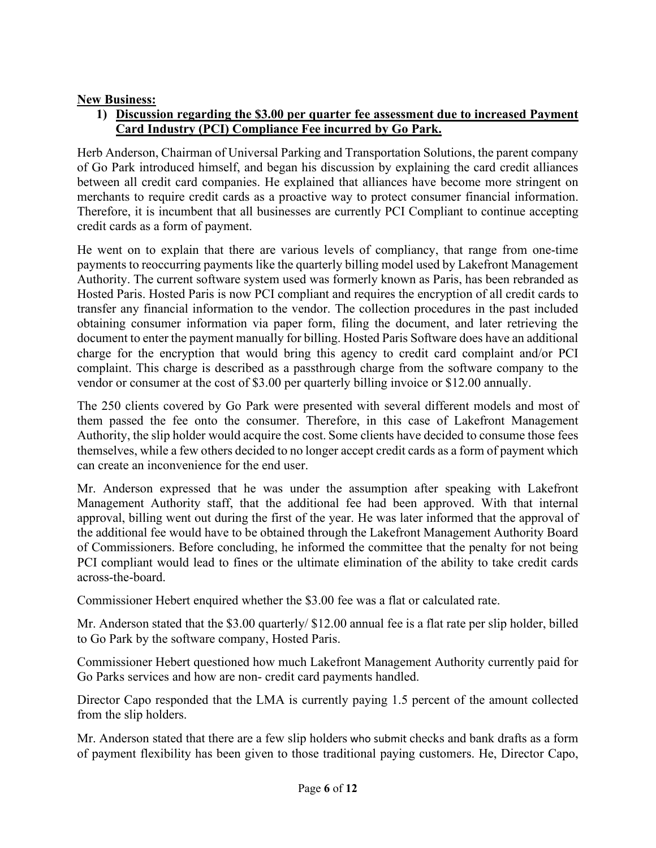### **New Business:**

### **1) Discussion regarding the \$3.00 per quarter fee assessment due to increased Payment Card Industry (PCI) Compliance Fee incurred by Go Park.**

Herb Anderson, Chairman of Universal Parking and Transportation Solutions, the parent company of Go Park introduced himself, and began his discussion by explaining the card credit alliances between all credit card companies. He explained that alliances have become more stringent on merchants to require credit cards as a proactive way to protect consumer financial information. Therefore, it is incumbent that all businesses are currently PCI Compliant to continue accepting credit cards as a form of payment.

He went on to explain that there are various levels of compliancy, that range from one-time payments to reoccurring payments like the quarterly billing model used by Lakefront Management Authority. The current software system used was formerly known as Paris, has been rebranded as Hosted Paris. Hosted Paris is now PCI compliant and requires the encryption of all credit cards to transfer any financial information to the vendor. The collection procedures in the past included obtaining consumer information via paper form, filing the document, and later retrieving the document to enter the payment manually for billing. Hosted Paris Software does have an additional charge for the encryption that would bring this agency to credit card complaint and/or PCI complaint. This charge is described as a passthrough charge from the software company to the vendor or consumer at the cost of \$3.00 per quarterly billing invoice or \$12.00 annually.

The 250 clients covered by Go Park were presented with several different models and most of them passed the fee onto the consumer. Therefore, in this case of Lakefront Management Authority, the slip holder would acquire the cost. Some clients have decided to consume those fees themselves, while a few others decided to no longer accept credit cards as a form of payment which can create an inconvenience for the end user.

Mr. Anderson expressed that he was under the assumption after speaking with Lakefront Management Authority staff, that the additional fee had been approved. With that internal approval, billing went out during the first of the year. He was later informed that the approval of the additional fee would have to be obtained through the Lakefront Management Authority Board of Commissioners. Before concluding, he informed the committee that the penalty for not being PCI compliant would lead to fines or the ultimate elimination of the ability to take credit cards across-the-board.

Commissioner Hebert enquired whether the \$3.00 fee was a flat or calculated rate.

Mr. Anderson stated that the \$3.00 quarterly/ \$12.00 annual fee is a flat rate per slip holder, billed to Go Park by the software company, Hosted Paris.

Commissioner Hebert questioned how much Lakefront Management Authority currently paid for Go Parks services and how are non- credit card payments handled.

Director Capo responded that the LMA is currently paying 1.5 percent of the amount collected from the slip holders.

Mr. Anderson stated that there are a few slip holders who submit checks and bank drafts as a form of payment flexibility has been given to those traditional paying customers. He, Director Capo,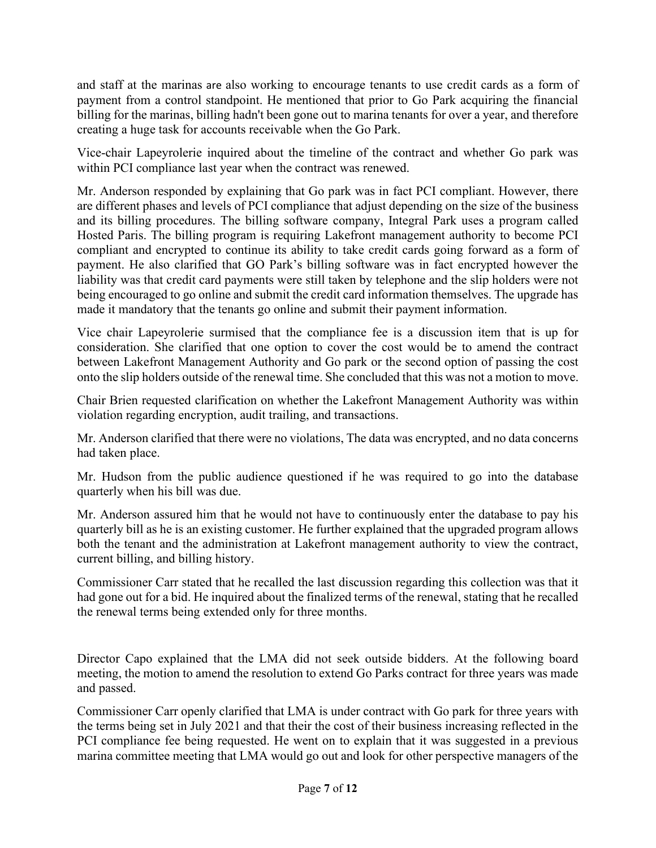and staff at the marinas are also working to encourage tenants to use credit cards as a form of payment from a control standpoint. He mentioned that prior to Go Park acquiring the financial billing for the marinas, billing hadn't been gone out to marina tenants for over a year, and therefore creating a huge task for accounts receivable when the Go Park.

Vice-chair Lapeyrolerie inquired about the timeline of the contract and whether Go park was within PCI compliance last year when the contract was renewed.

Mr. Anderson responded by explaining that Go park was in fact PCI compliant. However, there are different phases and levels of PCI compliance that adjust depending on the size of the business and its billing procedures. The billing software company, Integral Park uses a program called Hosted Paris. The billing program is requiring Lakefront management authority to become PCI compliant and encrypted to continue its ability to take credit cards going forward as a form of payment. He also clarified that GO Park's billing software was in fact encrypted however the liability was that credit card payments were still taken by telephone and the slip holders were not being encouraged to go online and submit the credit card information themselves. The upgrade has made it mandatory that the tenants go online and submit their payment information.

Vice chair Lapeyrolerie surmised that the compliance fee is a discussion item that is up for consideration. She clarified that one option to cover the cost would be to amend the contract between Lakefront Management Authority and Go park or the second option of passing the cost onto the slip holders outside of the renewal time. She concluded that this was not a motion to move.

Chair Brien requested clarification on whether the Lakefront Management Authority was within violation regarding encryption, audit trailing, and transactions.

Mr. Anderson clarified that there were no violations, The data was encrypted, and no data concerns had taken place.

Mr. Hudson from the public audience questioned if he was required to go into the database quarterly when his bill was due.

Mr. Anderson assured him that he would not have to continuously enter the database to pay his quarterly bill as he is an existing customer. He further explained that the upgraded program allows both the tenant and the administration at Lakefront management authority to view the contract, current billing, and billing history.

Commissioner Carr stated that he recalled the last discussion regarding this collection was that it had gone out for a bid. He inquired about the finalized terms of the renewal, stating that he recalled the renewal terms being extended only for three months.

Director Capo explained that the LMA did not seek outside bidders. At the following board meeting, the motion to amend the resolution to extend Go Parks contract for three years was made and passed.

Commissioner Carr openly clarified that LMA is under contract with Go park for three years with the terms being set in July 2021 and that their the cost of their business increasing reflected in the PCI compliance fee being requested. He went on to explain that it was suggested in a previous marina committee meeting that LMA would go out and look for other perspective managers of the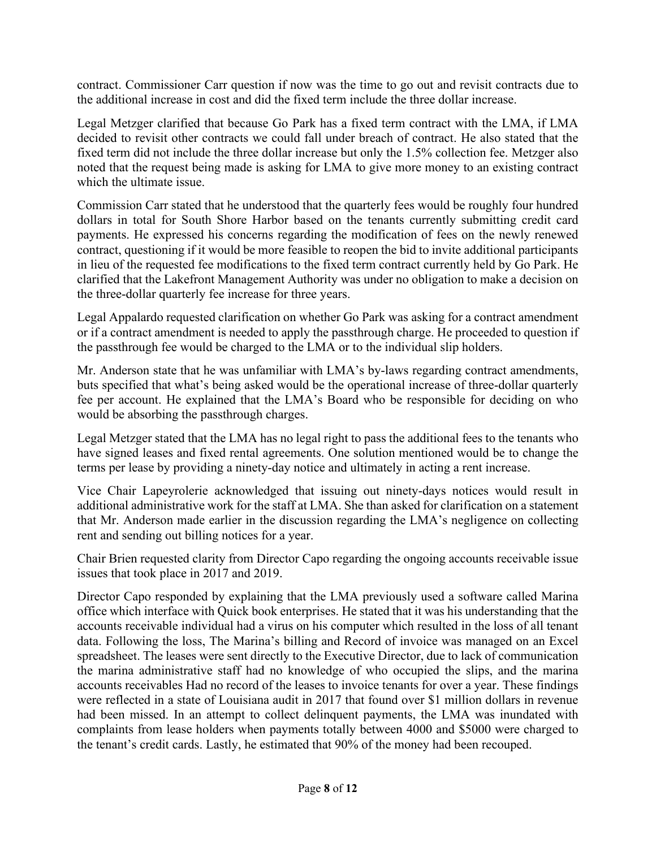contract. Commissioner Carr question if now was the time to go out and revisit contracts due to the additional increase in cost and did the fixed term include the three dollar increase.

Legal Metzger clarified that because Go Park has a fixed term contract with the LMA, if LMA decided to revisit other contracts we could fall under breach of contract. He also stated that the fixed term did not include the three dollar increase but only the 1.5% collection fee. Metzger also noted that the request being made is asking for LMA to give more money to an existing contract which the ultimate issue.

Commission Carr stated that he understood that the quarterly fees would be roughly four hundred dollars in total for South Shore Harbor based on the tenants currently submitting credit card payments. He expressed his concerns regarding the modification of fees on the newly renewed contract, questioning if it would be more feasible to reopen the bid to invite additional participants in lieu of the requested fee modifications to the fixed term contract currently held by Go Park. He clarified that the Lakefront Management Authority was under no obligation to make a decision on the three-dollar quarterly fee increase for three years.

Legal Appalardo requested clarification on whether Go Park was asking for a contract amendment or if a contract amendment is needed to apply the passthrough charge. He proceeded to question if the passthrough fee would be charged to the LMA or to the individual slip holders.

Mr. Anderson state that he was unfamiliar with LMA's by-laws regarding contract amendments, buts specified that what's being asked would be the operational increase of three-dollar quarterly fee per account. He explained that the LMA's Board who be responsible for deciding on who would be absorbing the passthrough charges.

Legal Metzger stated that the LMA has no legal right to pass the additional fees to the tenants who have signed leases and fixed rental agreements. One solution mentioned would be to change the terms per lease by providing a ninety-day notice and ultimately in acting a rent increase.

Vice Chair Lapeyrolerie acknowledged that issuing out ninety-days notices would result in additional administrative work for the staff at LMA. She than asked for clarification on a statement that Mr. Anderson made earlier in the discussion regarding the LMA's negligence on collecting rent and sending out billing notices for a year.

Chair Brien requested clarity from Director Capo regarding the ongoing accounts receivable issue issues that took place in 2017 and 2019.

Director Capo responded by explaining that the LMA previously used a software called Marina office which interface with Quick book enterprises. He stated that it was his understanding that the accounts receivable individual had a virus on his computer which resulted in the loss of all tenant data. Following the loss, The Marina's billing and Record of invoice was managed on an Excel spreadsheet. The leases were sent directly to the Executive Director, due to lack of communication the marina administrative staff had no knowledge of who occupied the slips, and the marina accounts receivables Had no record of the leases to invoice tenants for over a year. These findings were reflected in a state of Louisiana audit in 2017 that found over \$1 million dollars in revenue had been missed. In an attempt to collect delinquent payments, the LMA was inundated with complaints from lease holders when payments totally between 4000 and \$5000 were charged to the tenant's credit cards. Lastly, he estimated that 90% of the money had been recouped.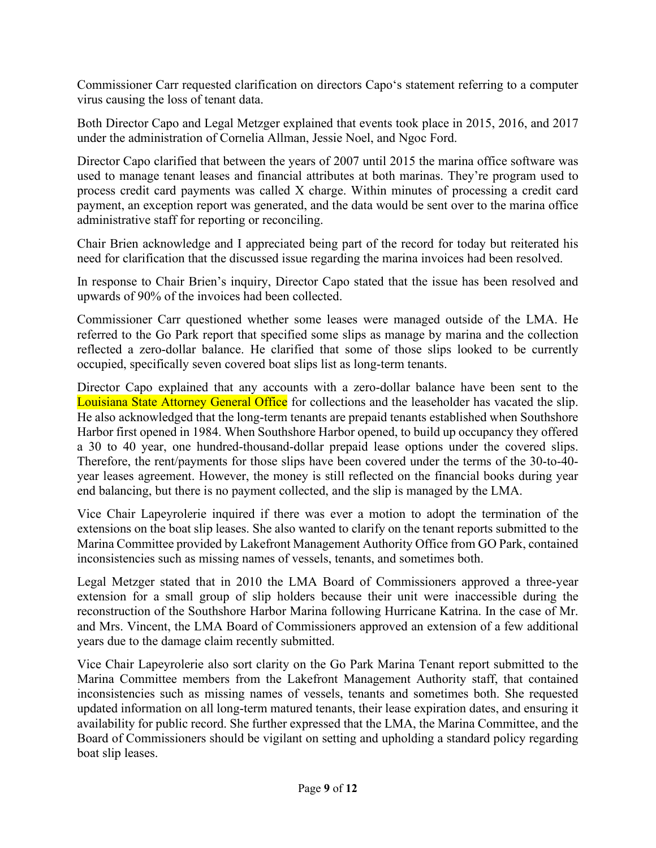Commissioner Carr requested clarification on directors Capo's statement referring to a computer virus causing the loss of tenant data.

Both Director Capo and Legal Metzger explained that events took place in 2015, 2016, and 2017 under the administration of Cornelia Allman, Jessie Noel, and Ngoc Ford.

Director Capo clarified that between the years of 2007 until 2015 the marina office software was used to manage tenant leases and financial attributes at both marinas. They're program used to process credit card payments was called X charge. Within minutes of processing a credit card payment, an exception report was generated, and the data would be sent over to the marina office administrative staff for reporting or reconciling.

Chair Brien acknowledge and I appreciated being part of the record for today but reiterated his need for clarification that the discussed issue regarding the marina invoices had been resolved.

In response to Chair Brien's inquiry, Director Capo stated that the issue has been resolved and upwards of 90% of the invoices had been collected.

Commissioner Carr questioned whether some leases were managed outside of the LMA. He referred to the Go Park report that specified some slips as manage by marina and the collection reflected a zero-dollar balance. He clarified that some of those slips looked to be currently occupied, specifically seven covered boat slips list as long-term tenants.

Director Capo explained that any accounts with a zero-dollar balance have been sent to the Louisiana State Attorney General Office for collections and the leaseholder has vacated the slip. He also acknowledged that the long-term tenants are prepaid tenants established when Southshore Harbor first opened in 1984. When Southshore Harbor opened, to build up occupancy they offered a 30 to 40 year, one hundred-thousand-dollar prepaid lease options under the covered slips. Therefore, the rent/payments for those slips have been covered under the terms of the 30-to-40 year leases agreement. However, the money is still reflected on the financial books during year end balancing, but there is no payment collected, and the slip is managed by the LMA.

Vice Chair Lapeyrolerie inquired if there was ever a motion to adopt the termination of the extensions on the boat slip leases. She also wanted to clarify on the tenant reports submitted to the Marina Committee provided by Lakefront Management Authority Office from GO Park, contained inconsistencies such as missing names of vessels, tenants, and sometimes both.

Legal Metzger stated that in 2010 the LMA Board of Commissioners approved a three-year extension for a small group of slip holders because their unit were inaccessible during the reconstruction of the Southshore Harbor Marina following Hurricane Katrina. In the case of Mr. and Mrs. Vincent, the LMA Board of Commissioners approved an extension of a few additional years due to the damage claim recently submitted.

Vice Chair Lapeyrolerie also sort clarity on the Go Park Marina Tenant report submitted to the Marina Committee members from the Lakefront Management Authority staff, that contained inconsistencies such as missing names of vessels, tenants and sometimes both. She requested updated information on all long-term matured tenants, their lease expiration dates, and ensuring it availability for public record. She further expressed that the LMA, the Marina Committee, and the Board of Commissioners should be vigilant on setting and upholding a standard policy regarding boat slip leases.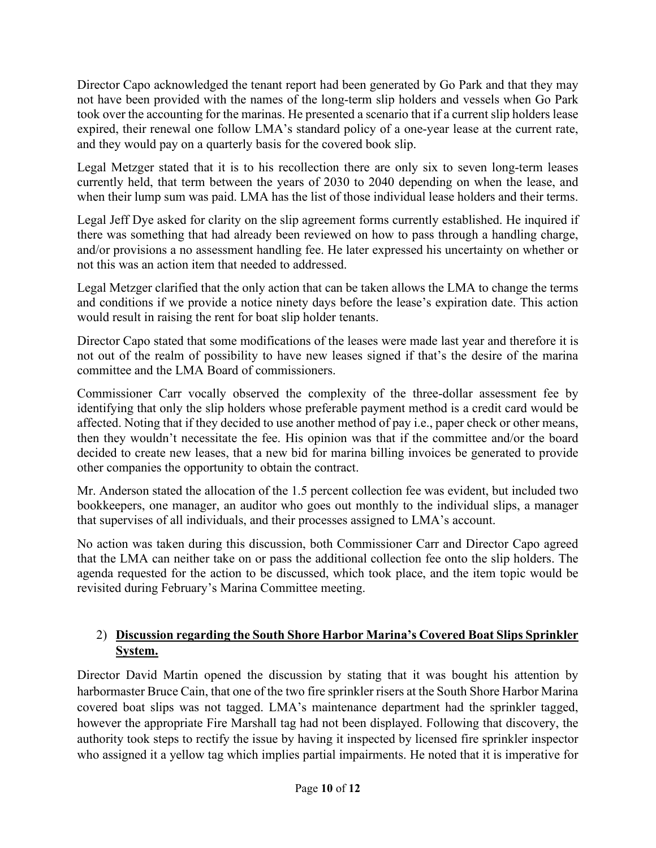Director Capo acknowledged the tenant report had been generated by Go Park and that they may not have been provided with the names of the long-term slip holders and vessels when Go Park took over the accounting for the marinas. He presented a scenario that if a current slip holders lease expired, their renewal one follow LMA's standard policy of a one-year lease at the current rate, and they would pay on a quarterly basis for the covered book slip.

Legal Metzger stated that it is to his recollection there are only six to seven long-term leases currently held, that term between the years of 2030 to 2040 depending on when the lease, and when their lump sum was paid. LMA has the list of those individual lease holders and their terms.

Legal Jeff Dye asked for clarity on the slip agreement forms currently established. He inquired if there was something that had already been reviewed on how to pass through a handling charge, and/or provisions a no assessment handling fee. He later expressed his uncertainty on whether or not this was an action item that needed to addressed.

Legal Metzger clarified that the only action that can be taken allows the LMA to change the terms and conditions if we provide a notice ninety days before the lease's expiration date. This action would result in raising the rent for boat slip holder tenants.

Director Capo stated that some modifications of the leases were made last year and therefore it is not out of the realm of possibility to have new leases signed if that's the desire of the marina committee and the LMA Board of commissioners.

Commissioner Carr vocally observed the complexity of the three-dollar assessment fee by identifying that only the slip holders whose preferable payment method is a credit card would be affected. Noting that if they decided to use another method of pay i.e., paper check or other means, then they wouldn't necessitate the fee. His opinion was that if the committee and/or the board decided to create new leases, that a new bid for marina billing invoices be generated to provide other companies the opportunity to obtain the contract.

Mr. Anderson stated the allocation of the 1.5 percent collection fee was evident, but included two bookkeepers, one manager, an auditor who goes out monthly to the individual slips, a manager that supervises of all individuals, and their processes assigned to LMA's account.

No action was taken during this discussion, both Commissioner Carr and Director Capo agreed that the LMA can neither take on or pass the additional collection fee onto the slip holders. The agenda requested for the action to be discussed, which took place, and the item topic would be revisited during February's Marina Committee meeting.

### 2) **Discussion regarding the South Shore Harbor Marina's Covered Boat Slips Sprinkler System.**

Director David Martin opened the discussion by stating that it was bought his attention by harbormaster Bruce Cain, that one of the two fire sprinkler risers at the South Shore Harbor Marina covered boat slips was not tagged. LMA's maintenance department had the sprinkler tagged, however the appropriate Fire Marshall tag had not been displayed. Following that discovery, the authority took steps to rectify the issue by having it inspected by licensed fire sprinkler inspector who assigned it a yellow tag which implies partial impairments. He noted that it is imperative for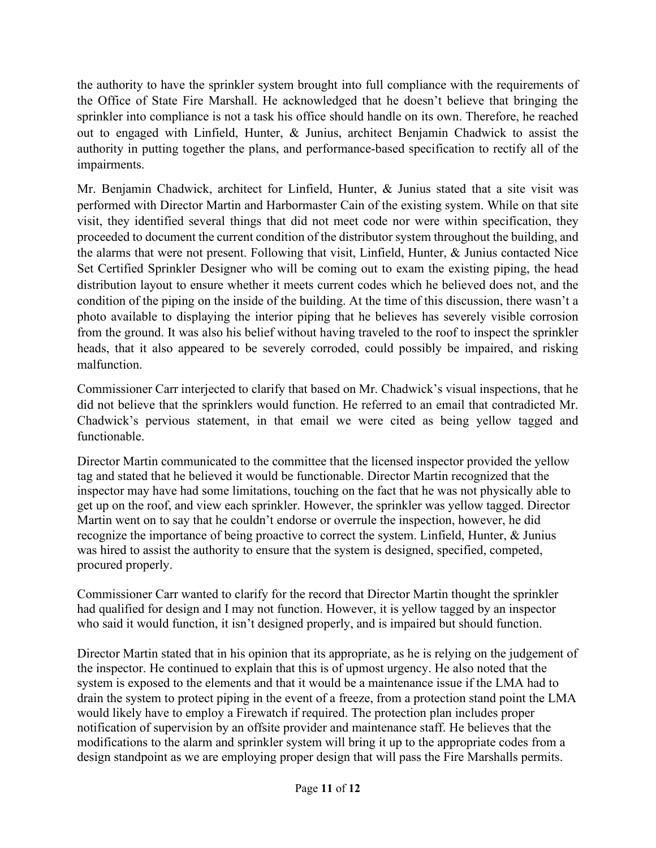the authority to have the sprinkler system brought into full compliance with the requirements of the Office of State Fire Marshall. He acknowledged that he doesn't believe that bringing the sprinkler into compliance is not a task his office should handle on its own. Therefore, he reached out to engaged with Linfield, Hunter, & Junius, architect Benjamin Chadwick to assist the authority in putting together the plans, and performance-based specification to rectify all of the impairments.

Mr. Benjamin Chadwick, architect for Linfield, Hunter, & Junius stated that a site visit was performed with Director Martin and Harbormaster Cain of the existing system. While on that site visit, they identified several things that did not meet code nor were within specification, they proceeded to document the current condition of the distributor system throughout the building, and the alarms that were not present. Following that visit, Linfield, Hunter, & Junius contacted Nice Set Certified Sprinkler Designer who will be coming out to exam the existing piping, the head distribution layout to ensure whether it meets current codes which he believed does not, and the condition of the piping on the inside of the building. At the time of this discussion, there wasn't a photo available to displaying the interior piping that he believes has severely visible corrosion from the ground. It was also his belief without having traveled to the roof to inspect the sprinkler heads, that it also appeared to be severely corroded, could possibly be impaired, and risking malfunction.

Commissioner Carr interjected to clarify that based on Mr. Chadwick's visual inspections, that he did not believe that the sprinklers would function. He referred to an email that contradicted Mr. Chadwick's pervious statement, in that email we were cited as being yellow tagged and functionable.

Director Martin communicated to the committee that the licensed inspector provided the yellow tag and stated that he believed it would be functionable. Director Martin recognized that the inspector may have had some limitations, touching on the fact that he was not physically able to get up on the roof, and view each sprinkler. However, the sprinkler was yellow tagged. Director Martin went on to say that he couldn't endorse or overrule the inspection, however, he did recognize the importance of being proactive to correct the system. Linfield, Hunter, & Junius was hired to assist the authority to ensure that the system is designed, specified, competed, procured properly.

Commissioner Carr wanted to clarify for the record that Director Martin thought the sprinkler had qualified for design and I may not function. However, it is yellow tagged by an inspector who said it would function, it isn't designed properly, and is impaired but should function.

Director Martin stated that in his opinion that its appropriate, as he is relying on the judgement of the inspector. He continued to explain that this is of upmost urgency. He also noted that the system is exposed to the elements and that it would be a maintenance issue if the LMA had to drain the system to protect piping in the event of a freeze, from a protection stand point the LMA would likely have to employ a Firewatch if required. The protection plan includes proper notification of supervision by an offsite provider and maintenance staff. He believes that the modifications to the alarm and sprinkler system will bring it up to the appropriate codes from a design standpoint as we are employing proper design that will pass the Fire Marshalls permits.